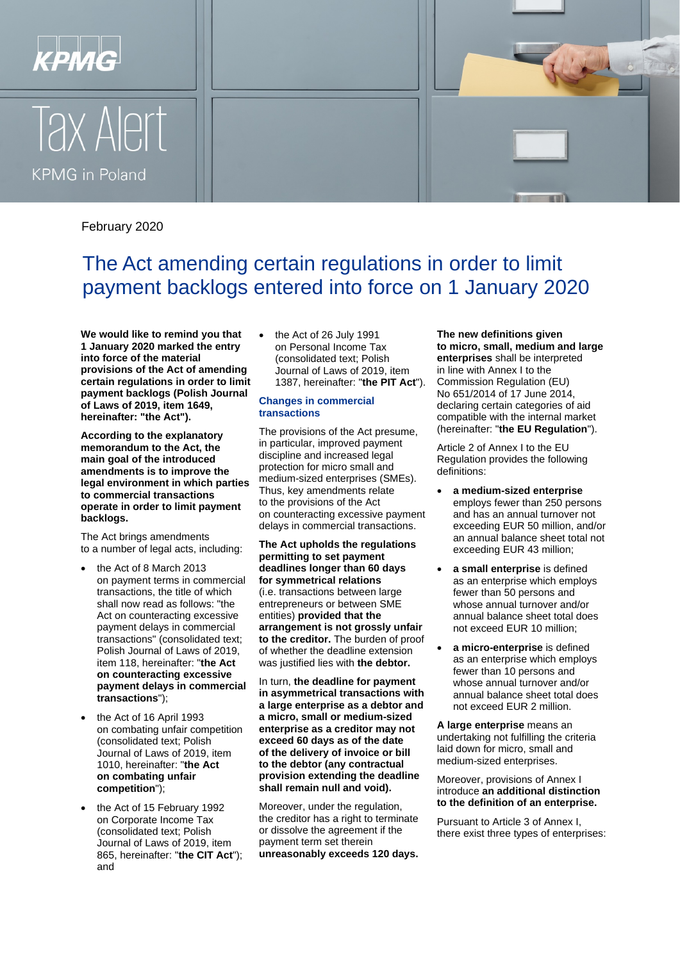





# February 2020

# The Act amending certain regulations in order to limit payment backlogs entered into force on 1 January 2020

**We would like to remind you that 1 January 2020 marked the entry into force of the material provisions of the Act of amending certain regulations in order to limit payment backlogs (Polish Journal of Laws of 2019, item 1649, hereinafter: "the Act").**

**According to the explanatory memorandum to the Act, the main goal of the introduced amendments is to improve the legal environment in which parties to commercial transactions operate in order to limit payment backlogs.**

The Act brings amendments to a number of legal acts, including:

- the Act of 8 March 2013 on payment terms in commercial transactions, the title of which shall now read as follows: "the Act on counteracting excessive payment delays in commercial transactions" (consolidated text; Polish Journal of Laws of 2019, item 118, hereinafter: "**the Act on counteracting excessive payment delays in commercial transactions**");
- the Act of 16 April 1993 on combating unfair competition (consolidated text; Polish Journal of Laws of 2019, item 1010, hereinafter: "**the Act on combating unfair competition**");
- the Act of 15 February 1992 on Corporate Income Tax (consolidated text; Polish Journal of Laws of 2019, item 865, hereinafter: "**the CIT Act**"); and

the Act of 26 July 1991 on Personal Income Tax (consolidated text; Polish Journal of Laws of 2019, item 1387, hereinafter: "**the PIT Act**").

#### **Changes in commercial transactions**

The provisions of the Act presume, in particular, improved payment discipline and increased legal protection for micro small and medium-sized enterprises (SMEs). Thus, key amendments relate to the provisions of the Act on counteracting excessive payment delays in commercial transactions.

**The Act upholds the regulations permitting to set payment deadlines longer than 60 days for symmetrical relations**  (i.e. transactions between large entrepreneurs or between SME entities) **provided that the arrangement is not grossly unfair to the creditor.** The burden of proof of whether the deadline extension was justified lies with **the debtor.**

In turn, **the deadline for payment in asymmetrical transactions with a large enterprise as a debtor and a micro, small or medium-sized enterprise as a creditor may not exceed 60 days as of the date of the delivery of invoice or bill to the debtor (any contractual provision extending the deadline shall remain null and void).**

Moreover, under the regulation, the creditor has a right to terminate or dissolve the agreement if the payment term set therein **unreasonably exceeds 120 days.** **The new definitions given to micro, small, medium and large enterprises** shall be interpreted in line with Annex I to the Commission Regulation (EU) No 651/2014 of 17 June 2014, declaring certain categories of aid compatible with the internal market (hereinafter: "**the EU Regulation**").

Article 2 of Annex I to the EU Regulation provides the following definitions:

- **a medium-sized enterprise**  employs fewer than 250 persons and has an annual turnover not exceeding EUR 50 million, and/or an annual balance sheet total not exceeding EUR 43 million;
- **a small enterprise** is defined as an enterprise which employs fewer than 50 persons and whose annual turnover and/or annual balance sheet total does not exceed EUR 10 million;
- **a micro-enterprise** is defined as an enterprise which employs fewer than 10 persons and whose annual turnover and/or annual balance sheet total does not exceed EUR 2 million.

**A large enterprise** means an undertaking not fulfilling the criteria laid down for micro, small and medium-sized enterprises.

Moreover, provisions of Annex I introduce **an additional distinction to the definition of an enterprise.**

Pursuant to Article 3 of Annex I, there exist three types of enterprises: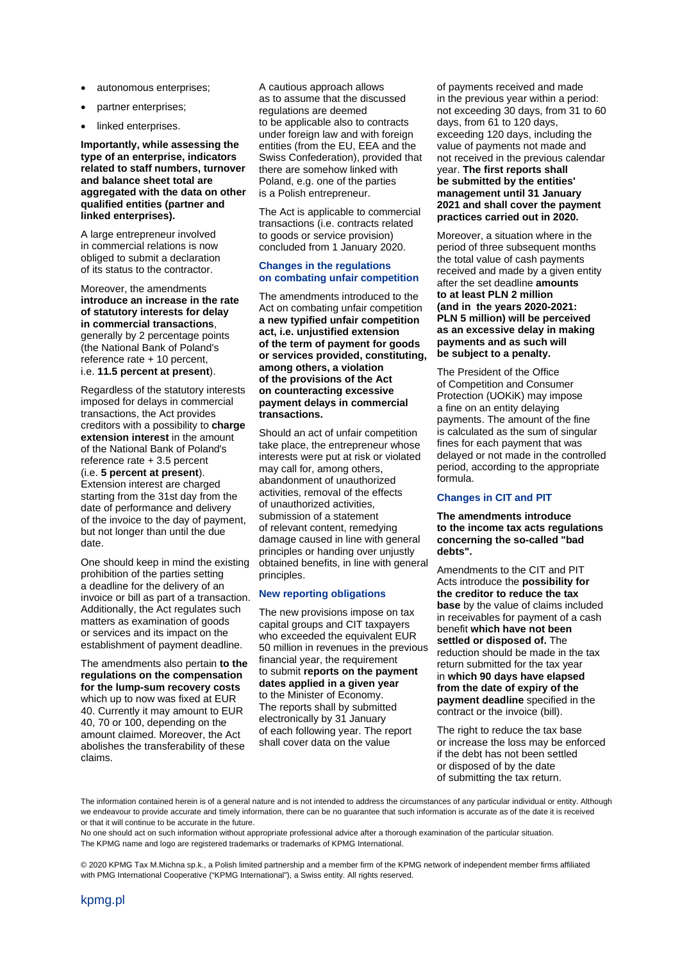- autonomous enterprises;
- partner enterprises;
- linked enterprises.

#### **Importantly, while assessing the type of an enterprise, indicators related to staff numbers, turnover and balance sheet total are aggregated with the data on other qualified entities (partner and linked enterprises).**

A large entrepreneur involved in commercial relations is now obliged to submit a declaration of its status to the contractor.

Moreover, the amendments **introduce an increase in the rate of statutory interests for delay in commercial transactions**, generally by 2 percentage points (the National Bank of Poland's reference rate + 10 percent, i.e. **11.5 percent at present**).

Regardless of the statutory interests imposed for delays in commercial transactions, the Act provides creditors with a possibility to **charge extension interest** in the amount of the National Bank of Poland's reference rate + 3.5 percent (i.e. **5 percent at present**). Extension interest are charged starting from the 31st day from the date of performance and delivery of the invoice to the day of payment, but not longer than until the due date.

One should keep in mind the existing prohibition of the parties setting a deadline for the delivery of an invoice or bill as part of a transaction. Additionally, the Act regulates such matters as examination of goods or services and its impact on the establishment of payment deadline.

The amendments also pertain **to the regulations on the compensation for the lump-sum recovery costs**  which up to now was fixed at EUR

40. Currently it may amount to EUR 40, 70 or 100, depending on the amount claimed. Moreover, the Act abolishes the transferability of these claims.

A cautious approach allows as to assume that the discussed regulations are deemed to be applicable also to contracts under foreign law and with foreign entities (from the EU, EEA and the Swiss Confederation), provided that there are somehow linked with Poland, e.g. one of the parties is a Polish entrepreneur.

The Act is applicable to commercial transactions (i.e. contracts related to goods or service provision) concluded from 1 January 2020.

#### **Changes in the regulations on combating unfair competition**

The amendments introduced to the Act on combating unfair competition **a new typified unfair competition act, i.e. unjustified extension of the term of payment for goods or services provided, constituting, among others, a violation of the provisions of the Act on counteracting excessive payment delays in commercial transactions.**

Should an act of unfair competition take place, the entrepreneur whose interests were put at risk or violated may call for, among others, abandonment of unauthorized activities, removal of the effects of unauthorized activities, submission of a statement of relevant content, remedying damage caused in line with general principles or handing over unjustly obtained benefits, in line with general principles.

#### **New reporting obligations**

The new provisions impose on tax capital groups and CIT taxpayers who exceeded the equivalent EUR 50 million in revenues in the previous financial year, the requirement to submit **reports on the payment dates applied in a given year** to the Minister of Economy. The reports shall by submitted electronically by 31 January of each following year. The report shall cover data on the value

of payments received and made in the previous year within a period: not exceeding 30 days, from 31 to 60 days, from 61 to 120 days, exceeding 120 days, including the value of payments not made and not received in the previous calendar year. **The first reports shall be submitted by the entities' management until 31 January 2021 and shall cover the payment practices carried out in 2020.**

Moreover, a situation where in the period of three subsequent months the total value of cash payments received and made by a given entity after the set deadline **amounts to at least PLN 2 million (and in the years 2020-2021: PLN 5 million) will be perceived as an excessive delay in making payments and as such will be subject to a penalty.**

The President of the Office of Competition and Consumer Protection (UOKiK) may impose a fine on an entity delaying payments. The amount of the fine is calculated as the sum of singular fines for each payment that was delayed or not made in the controlled period, according to the appropriate formula.

### **Changes in CIT and PIT**

**The amendments introduce to the income tax acts regulations concerning the so-called "bad debts".**

Amendments to the CIT and PIT Acts introduce the **possibility for the creditor to reduce the tax base** by the value of claims included in receivables for payment of a cash benefit **which have not been settled or disposed of.** The reduction should be made in the tax return submitted for the tax year in **which 90 days have elapsed from the date of expiry of the payment deadline** specified in the contract or the invoice (bill).

The right to reduce the tax base or increase the loss may be enforced if the debt has not been settled or disposed of by the date of submitting the tax return.

The information contained herein is of a general nature and is not intended to address the circumstances of any particular individual or entity. Although we endeavour to provide accurate and timely information, there can be no guarantee that such information is accurate as of the date it is received or that it will continue to be accurate in the future.

No one should act on such information without appropriate professional advice after a thorough examination of the particular situation. The KPMG name and logo are registered trademarks or trademarks of KPMG International.

© 2020 KPMG Tax M.Michna sp.k., a Polish limited partnership and a member firm of the KPMG network of independent member firms affiliated with PMG International Cooperative ("KPMG International"), a Swiss entity. All rights reserved.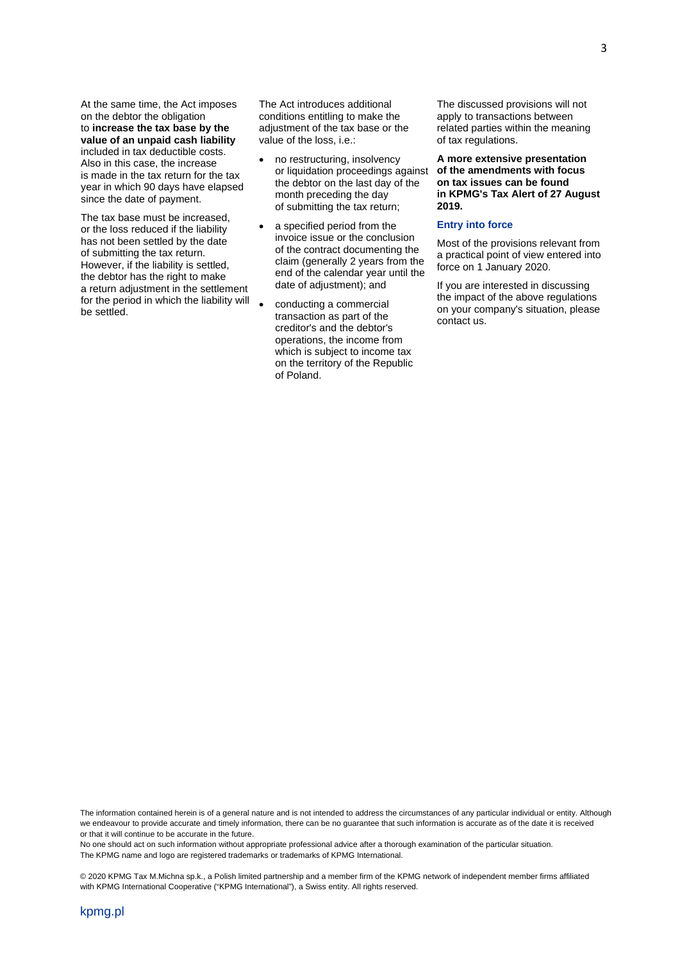At the same time, the Act imposes on the debtor the obligation to **increase the tax base by the value of an unpaid cash liability** included in tax deductible costs. Also in this case, the increase is made in the tax return for the tax year in which 90 days have elapsed since the date of payment.

The tax base must be increased, or the loss reduced if the liability has not been settled by the date of submitting the tax return. However, if the liability is settled, the debtor has the right to make a return adjustment in the settlement for the period in which the liability will be settled.

The Act introduces additional conditions entitling to make the adjustment of the tax base or the value of the loss, i.e.:

- no restructuring, insolvency or liquidation proceedings against the debtor on the last day of the month preceding the day of submitting the tax return;
- a specified period from the invoice issue or the conclusion of the contract documenting the claim (generally 2 years from the end of the calendar year until the date of adjustment); and
- conducting a commercial transaction as part of the creditor's and the debtor's operations, the income from which is subject to income tax on the territory of the Republic of Poland.

The discussed provisions will not apply to transactions between related parties within the meaning of tax regulations.

**A more extensive presentation of the amendments with focus on tax issues can be found in KPMG's Tax Alert of 27 August 2019.** 

#### **Entry into force**

Most of the provisions relevant from a practical point of view entered into force on 1 January 2020.

If you are interested in discussing the impact of the above regulations on your company's situation, please contact us.

The information contained herein is of a general nature and is not intended to address the circumstances of any particular individual or entity. Although we endeavour to provide accurate and timely information, there can be no guarantee that such information is accurate as of the date it is received or that it will continue to be accurate in the future.

No one should act on such information without appropriate professional advice after a thorough examination of the particular situation. The KPMG name and logo are registered trademarks or trademarks of KPMG International.

© 2020 KPMG Tax M.Michna sp.k., a Polish limited partnership and a member firm of the KPMG network of independent member firms affiliated with KPMG International Cooperative ("KPMG International"), a Swiss entity. All rights reserved.